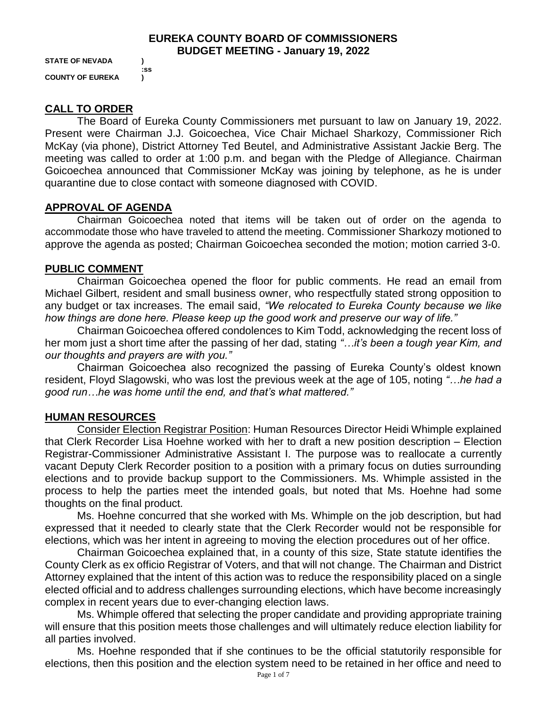#### **EUREKA COUNTY BOARD OF COMMISSIONERS BUDGET MEETING - January 19, 2022**

**STATE OF NEVADA ) COUNTY OF EUREKA )**

**:ss**

**CALL TO ORDER**

The Board of Eureka County Commissioners met pursuant to law on January 19, 2022. Present were Chairman J.J. Goicoechea, Vice Chair Michael Sharkozy, Commissioner Rich McKay (via phone), District Attorney Ted Beutel, and Administrative Assistant Jackie Berg. The meeting was called to order at 1:00 p.m. and began with the Pledge of Allegiance. Chairman Goicoechea announced that Commissioner McKay was joining by telephone, as he is under quarantine due to close contact with someone diagnosed with COVID.

## **APPROVAL OF AGENDA**

Chairman Goicoechea noted that items will be taken out of order on the agenda to accommodate those who have traveled to attend the meeting. Commissioner Sharkozy motioned to approve the agenda as posted; Chairman Goicoechea seconded the motion; motion carried 3-0.

# **PUBLIC COMMENT**

Chairman Goicoechea opened the floor for public comments. He read an email from Michael Gilbert, resident and small business owner, who respectfully stated strong opposition to any budget or tax increases. The email said, *"We relocated to Eureka County because we like how things are done here. Please keep up the good work and preserve our way of life."* 

Chairman Goicoechea offered condolences to Kim Todd, acknowledging the recent loss of her mom just a short time after the passing of her dad, stating *"…it's been a tough year Kim, and our thoughts and prayers are with you."* 

Chairman Goicoechea also recognized the passing of Eureka County's oldest known resident, Floyd Slagowski, who was lost the previous week at the age of 105, noting *"…he had a good run…he was home until the end, and that's what mattered."*

# **HUMAN RESOURCES**

Consider Election Registrar Position: Human Resources Director Heidi Whimple explained that Clerk Recorder Lisa Hoehne worked with her to draft a new position description – Election Registrar-Commissioner Administrative Assistant I. The purpose was to reallocate a currently vacant Deputy Clerk Recorder position to a position with a primary focus on duties surrounding elections and to provide backup support to the Commissioners. Ms. Whimple assisted in the process to help the parties meet the intended goals, but noted that Ms. Hoehne had some thoughts on the final product.

Ms. Hoehne concurred that she worked with Ms. Whimple on the job description, but had expressed that it needed to clearly state that the Clerk Recorder would not be responsible for elections, which was her intent in agreeing to moving the election procedures out of her office.

Chairman Goicoechea explained that, in a county of this size, State statute identifies the County Clerk as ex officio Registrar of Voters, and that will not change. The Chairman and District Attorney explained that the intent of this action was to reduce the responsibility placed on a single elected official and to address challenges surrounding elections, which have become increasingly complex in recent years due to ever-changing election laws.

Ms. Whimple offered that selecting the proper candidate and providing appropriate training will ensure that this position meets those challenges and will ultimately reduce election liability for all parties involved.

Ms. Hoehne responded that if she continues to be the official statutorily responsible for elections, then this position and the election system need to be retained in her office and need to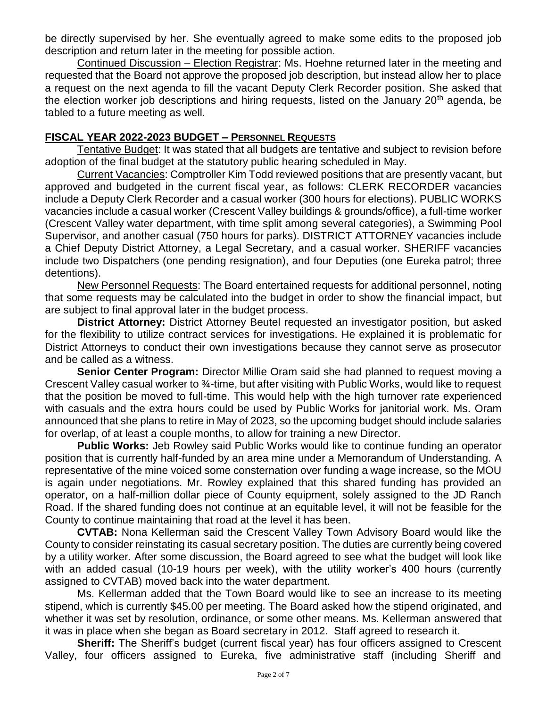be directly supervised by her. She eventually agreed to make some edits to the proposed job description and return later in the meeting for possible action.

Continued Discussion – Election Registrar: Ms. Hoehne returned later in the meeting and requested that the Board not approve the proposed job description, but instead allow her to place a request on the next agenda to fill the vacant Deputy Clerk Recorder position. She asked that the election worker job descriptions and hiring requests, listed on the January  $20<sup>th</sup>$  agenda, be tabled to a future meeting as well.

#### **FISCAL YEAR 2022-2023 BUDGET – PERSONNEL REQUESTS**

Tentative Budget: It was stated that all budgets are tentative and subject to revision before adoption of the final budget at the statutory public hearing scheduled in May.

Current Vacancies: Comptroller Kim Todd reviewed positions that are presently vacant, but approved and budgeted in the current fiscal year, as follows: CLERK RECORDER vacancies include a Deputy Clerk Recorder and a casual worker (300 hours for elections). PUBLIC WORKS vacancies include a casual worker (Crescent Valley buildings & grounds/office), a full-time worker (Crescent Valley water department, with time split among several categories), a Swimming Pool Supervisor, and another casual (750 hours for parks). DISTRICT ATTORNEY vacancies include a Chief Deputy District Attorney, a Legal Secretary, and a casual worker. SHERIFF vacancies include two Dispatchers (one pending resignation), and four Deputies (one Eureka patrol; three detentions).

New Personnel Requests: The Board entertained requests for additional personnel, noting that some requests may be calculated into the budget in order to show the financial impact, but are subject to final approval later in the budget process.

**District Attorney:** District Attorney Beutel requested an investigator position, but asked for the flexibility to utilize contract services for investigations. He explained it is problematic for District Attorneys to conduct their own investigations because they cannot serve as prosecutor and be called as a witness.

**Senior Center Program:** Director Millie Oram said she had planned to request moving a Crescent Valley casual worker to ¾-time, but after visiting with Public Works, would like to request that the position be moved to full-time. This would help with the high turnover rate experienced with casuals and the extra hours could be used by Public Works for janitorial work. Ms. Oram announced that she plans to retire in May of 2023, so the upcoming budget should include salaries for overlap, of at least a couple months, to allow for training a new Director.

**Public Works:** Jeb Rowley said Public Works would like to continue funding an operator position that is currently half-funded by an area mine under a Memorandum of Understanding. A representative of the mine voiced some consternation over funding a wage increase, so the MOU is again under negotiations. Mr. Rowley explained that this shared funding has provided an operator, on a half-million dollar piece of County equipment, solely assigned to the JD Ranch Road. If the shared funding does not continue at an equitable level, it will not be feasible for the County to continue maintaining that road at the level it has been.

**CVTAB:** Nona Kellerman said the Crescent Valley Town Advisory Board would like the County to consider reinstating its casual secretary position. The duties are currently being covered by a utility worker. After some discussion, the Board agreed to see what the budget will look like with an added casual (10-19 hours per week), with the utility worker's 400 hours (currently assigned to CVTAB) moved back into the water department.

Ms. Kellerman added that the Town Board would like to see an increase to its meeting stipend, which is currently \$45.00 per meeting. The Board asked how the stipend originated, and whether it was set by resolution, ordinance, or some other means. Ms. Kellerman answered that it was in place when she began as Board secretary in 2012. Staff agreed to research it.

**Sheriff:** The Sheriff's budget (current fiscal year) has four officers assigned to Crescent Valley, four officers assigned to Eureka, five administrative staff (including Sheriff and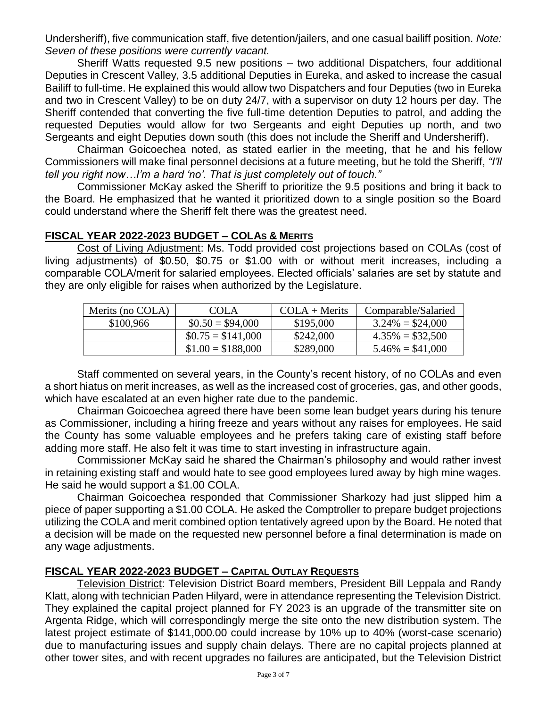Undersheriff), five communication staff, five detention/jailers, and one casual bailiff position. *Note: Seven of these positions were currently vacant.* 

Sheriff Watts requested 9.5 new positions – two additional Dispatchers, four additional Deputies in Crescent Valley, 3.5 additional Deputies in Eureka, and asked to increase the casual Bailiff to full-time. He explained this would allow two Dispatchers and four Deputies (two in Eureka and two in Crescent Valley) to be on duty 24/7, with a supervisor on duty 12 hours per day. The Sheriff contended that converting the five full-time detention Deputies to patrol, and adding the requested Deputies would allow for two Sergeants and eight Deputies up north, and two Sergeants and eight Deputies down south (this does not include the Sheriff and Undersheriff).

Chairman Goicoechea noted, as stated earlier in the meeting, that he and his fellow Commissioners will make final personnel decisions at a future meeting, but he told the Sheriff, *"I'll tell you right now…I'm a hard 'no'. That is just completely out of touch."* 

Commissioner McKay asked the Sheriff to prioritize the 9.5 positions and bring it back to the Board. He emphasized that he wanted it prioritized down to a single position so the Board could understand where the Sheriff felt there was the greatest need.

## **FISCAL YEAR 2022-2023 BUDGET – COLAS & MERITS**

Cost of Living Adjustment: Ms. Todd provided cost projections based on COLAs (cost of living adjustments) of \$0.50, \$0.75 or \$1.00 with or without merit increases, including a comparable COLA/merit for salaried employees. Elected officials' salaries are set by statute and they are only eligible for raises when authorized by the Legislature.

| Merits (no COLA) | COLA               | $COLA + Merits$ | Comparable/Salaried |
|------------------|--------------------|-----------------|---------------------|
| \$100,966        | $$0.50 = $94,000$  | \$195,000       | $3.24\% = $24,000$  |
|                  | $$0.75 = $141,000$ | \$242,000       | $4.35\% = $32,500$  |
|                  | $$1.00 = $188,000$ | \$289,000       | $5.46\% = $41,000$  |

Staff commented on several years, in the County's recent history, of no COLAs and even a short hiatus on merit increases, as well as the increased cost of groceries, gas, and other goods, which have escalated at an even higher rate due to the pandemic.

Chairman Goicoechea agreed there have been some lean budget years during his tenure as Commissioner, including a hiring freeze and years without any raises for employees. He said the County has some valuable employees and he prefers taking care of existing staff before adding more staff. He also felt it was time to start investing in infrastructure again.

Commissioner McKay said he shared the Chairman's philosophy and would rather invest in retaining existing staff and would hate to see good employees lured away by high mine wages. He said he would support a \$1.00 COLA.

Chairman Goicoechea responded that Commissioner Sharkozy had just slipped him a piece of paper supporting a \$1.00 COLA. He asked the Comptroller to prepare budget projections utilizing the COLA and merit combined option tentatively agreed upon by the Board. He noted that a decision will be made on the requested new personnel before a final determination is made on any wage adjustments.

# **FISCAL YEAR 2022-2023 BUDGET – CAPITAL OUTLAY REQUESTS**

Television District: Television District Board members, President Bill Leppala and Randy Klatt, along with technician Paden Hilyard, were in attendance representing the Television District. They explained the capital project planned for FY 2023 is an upgrade of the transmitter site on Argenta Ridge, which will correspondingly merge the site onto the new distribution system. The latest project estimate of \$141,000.00 could increase by 10% up to 40% (worst-case scenario) due to manufacturing issues and supply chain delays. There are no capital projects planned at other tower sites, and with recent upgrades no failures are anticipated, but the Television District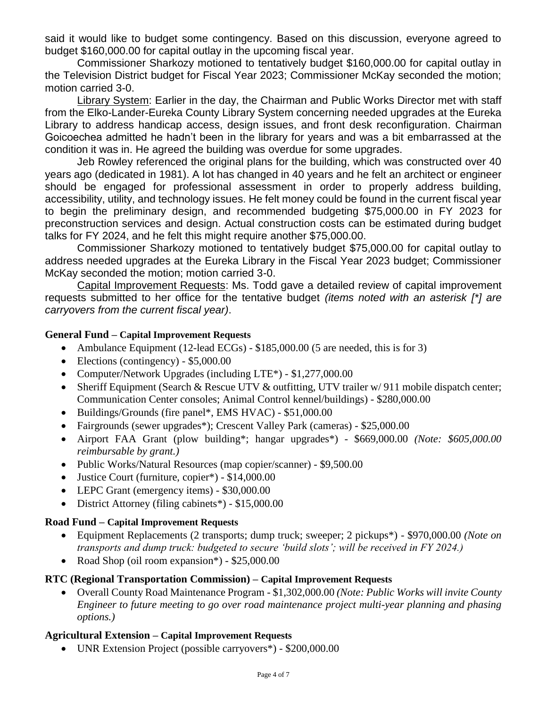said it would like to budget some contingency. Based on this discussion, everyone agreed to budget \$160,000.00 for capital outlay in the upcoming fiscal year.

Commissioner Sharkozy motioned to tentatively budget \$160,000.00 for capital outlay in the Television District budget for Fiscal Year 2023; Commissioner McKay seconded the motion; motion carried 3-0.

Library System: Earlier in the day, the Chairman and Public Works Director met with staff from the Elko-Lander-Eureka County Library System concerning needed upgrades at the Eureka Library to address handicap access, design issues, and front desk reconfiguration. Chairman Goicoechea admitted he hadn't been in the library for years and was a bit embarrassed at the condition it was in. He agreed the building was overdue for some upgrades.

Jeb Rowley referenced the original plans for the building, which was constructed over 40 years ago (dedicated in 1981). A lot has changed in 40 years and he felt an architect or engineer should be engaged for professional assessment in order to properly address building, accessibility, utility, and technology issues. He felt money could be found in the current fiscal year to begin the preliminary design, and recommended budgeting \$75,000.00 in FY 2023 for preconstruction services and design. Actual construction costs can be estimated during budget talks for FY 2024, and he felt this might require another \$75,000.00.

Commissioner Sharkozy motioned to tentatively budget \$75,000.00 for capital outlay to address needed upgrades at the Eureka Library in the Fiscal Year 2023 budget; Commissioner McKay seconded the motion; motion carried 3-0.

Capital Improvement Requests: Ms. Todd gave a detailed review of capital improvement requests submitted to her office for the tentative budget *(items noted with an asterisk [\*] are carryovers from the current fiscal year)*.

#### **General Fund – Capital Improvement Requests**

- Ambulance Equipment (12-lead ECGs) \$185,000.00 (5 are needed, this is for 3)
- Elections (contingency) \$5,000.00
- Computer/Network Upgrades (including LTE<sup>\*</sup>) \$1,277,000.00
- Sheriff Equipment (Search & Rescue UTV & outfitting, UTV trailer w/911 mobile dispatch center; Communication Center consoles; Animal Control kennel/buildings) - \$280,000.00
- Buildings/Grounds (fire panel\*, EMS HVAC) \$51,000.00
- Fairgrounds (sewer upgrades<sup>\*</sup>); Crescent Valley Park (cameras) \$25,000.00
- Airport FAA Grant (plow building\*; hangar upgrades\*) \$669,000.00 *(Note: \$605,000.00 reimbursable by grant.)*
- Public Works/Natural Resources (map copier/scanner) \$9,500.00
- Justice Court (furniture, copier<sup>\*</sup>) \$14,000.00
- LEPC Grant (emergency items) \$30,000.00
- District Attorney (filing cabinets\*) \$15,000.00

#### **Road Fund – Capital Improvement Requests**

- Equipment Replacements (2 transports; dump truck; sweeper; 2 pickups\*) \$970,000.00 *(Note on transports and dump truck: budgeted to secure 'build slots'; will be received in FY 2024.)*
- Road Shop (oil room expansion\*) \$25,000.00

#### **RTC (Regional Transportation Commission) – Capital Improvement Requests**

• Overall County Road Maintenance Program - \$1,302,000.00 *(Note: Public Works will invite County Engineer to future meeting to go over road maintenance project multi-year planning and phasing options.)* 

#### **Agricultural Extension – Capital Improvement Requests**

• UNR Extension Project (possible carryovers<sup>\*</sup>) - \$200,000.00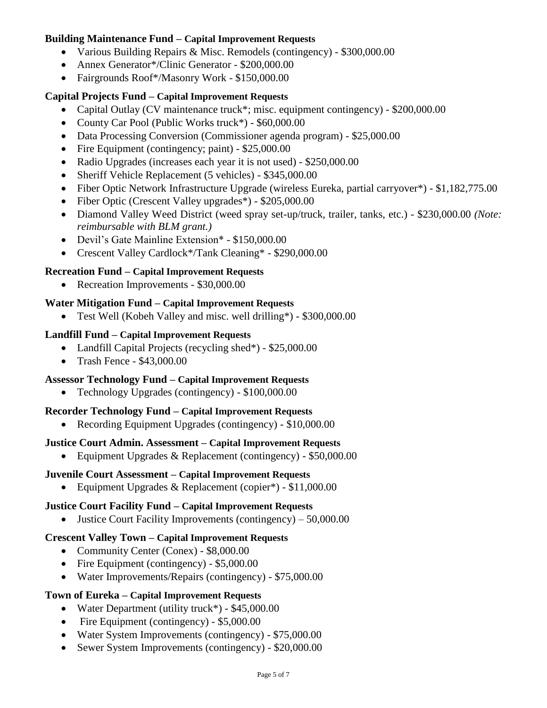#### **Building Maintenance Fund – Capital Improvement Requests**

- Various Building Repairs & Misc. Remodels (contingency) \$300,000.00
- Annex Generator\*/Clinic Generator \$200,000,00
- Fairgrounds Roof\*/Masonry Work \$150,000.00

#### **Capital Projects Fund – Capital Improvement Requests**

- Capital Outlay (CV maintenance truck\*; misc. equipment contingency) \$200,000.00
- County Car Pool (Public Works truck\*) \$60,000.00
- Data Processing Conversion (Commissioner agenda program) \$25,000.00
- Fire Equipment (contingency; paint) \$25,000.00
- Radio Upgrades (increases each year it is not used) \$250,000.00
- Sheriff Vehicle Replacement (5 vehicles) \$345,000.00
- Fiber Optic Network Infrastructure Upgrade (wireless Eureka, partial carryover\*) \$1,182,775.00
- Fiber Optic (Crescent Valley upgrades<sup>\*</sup>) \$205,000.00
- Diamond Valley Weed District (weed spray set-up/truck, trailer, tanks, etc.) \$230,000.00 *(Note: reimbursable with BLM grant.)*
- Devil's Gate Mainline Extension\* \$150,000.00
- Crescent Valley Cardlock\*/Tank Cleaning\* \$290,000.00

# **Recreation Fund – Capital Improvement Requests**

• Recreation Improvements - \$30,000.00

# **Water Mitigation Fund – Capital Improvement Requests**

• Test Well (Kobeh Valley and misc. well drilling\*) - \$300,000.00

## **Landfill Fund – Capital Improvement Requests**

- Landfill Capital Projects (recycling shed\*) \$25,000.00
- Trash Fence \$43,000.00

## **Assessor Technology Fund – Capital Improvement Requests**

• Technology Upgrades (contingency) - \$100,000.00

## **Recorder Technology Fund – Capital Improvement Requests**

• Recording Equipment Upgrades (contingency) - \$10,000.00

## **Justice Court Admin. Assessment – Capital Improvement Requests**

• Equipment Upgrades & Replacement (contingency) - \$50,000.00

## **Juvenile Court Assessment – Capital Improvement Requests**

• Equipment Upgrades & Replacement (copier\*) - \$11,000.00

## **Justice Court Facility Fund – Capital Improvement Requests**

• Justice Court Facility Improvements (contingency) – 50,000.00

## **Crescent Valley Town – Capital Improvement Requests**

- Community Center (Conex) \$8,000.00
- Fire Equipment (contingency) \$5,000.00
- Water Improvements/Repairs (contingency) \$75,000.00

## **Town of Eureka – Capital Improvement Requests**

- Water Department (utility truck\*) \$45,000.00
- Fire Equipment (contingency) \$5,000.00
- Water System Improvements (contingency) \$75,000.00
- Sewer System Improvements (contingency) \$20,000.00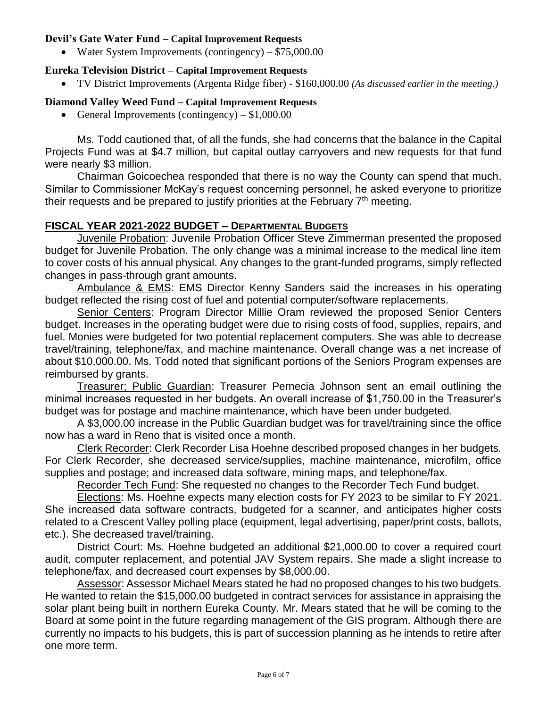#### **Devil's Gate Water Fund – Capital Improvement Requests**

• Water System Improvements (contingency) –  $$75,000.00$ 

## **Eureka Television District – Capital Improvement Requests**

• TV District Improvements (Argenta Ridge fiber) - \$160,000.00 *(As discussed earlier in the meeting.)*

# **Diamond Valley Weed Fund – Capital Improvement Requests**

• General Improvements (contingency)  $- $1,000.00$ 

Ms. Todd cautioned that, of all the funds, she had concerns that the balance in the Capital Projects Fund was at \$4.7 million, but capital outlay carryovers and new requests for that fund were nearly \$3 million.

Chairman Goicoechea responded that there is no way the County can spend that much. Similar to Commissioner McKay's request concerning personnel, he asked everyone to prioritize their requests and be prepared to justify priorities at the February  $7<sup>th</sup>$  meeting.

## **FISCAL YEAR 2021-2022 BUDGET – DEPARTMENTAL BUDGETS**

Juvenile Probation: Juvenile Probation Officer Steve Zimmerman presented the proposed budget for Juvenile Probation. The only change was a minimal increase to the medical line item to cover costs of his annual physical. Any changes to the grant-funded programs, simply reflected changes in pass-through grant amounts.

Ambulance & EMS: EMS Director Kenny Sanders said the increases in his operating budget reflected the rising cost of fuel and potential computer/software replacements.

Senior Centers: Program Director Millie Oram reviewed the proposed Senior Centers budget. Increases in the operating budget were due to rising costs of food, supplies, repairs, and fuel. Monies were budgeted for two potential replacement computers. She was able to decrease travel/training, telephone/fax, and machine maintenance. Overall change was a net increase of about \$10,000.00. Ms. Todd noted that significant portions of the Seniors Program expenses are reimbursed by grants.

Treasurer; Public Guardian: Treasurer Pernecia Johnson sent an email outlining the minimal increases requested in her budgets. An overall increase of \$1,750.00 in the Treasurer's budget was for postage and machine maintenance, which have been under budgeted.

A \$3,000.00 increase in the Public Guardian budget was for travel/training since the office now has a ward in Reno that is visited once a month.

Clerk Recorder: Clerk Recorder Lisa Hoehne described proposed changes in her budgets. For Clerk Recorder, she decreased service/supplies, machine maintenance, microfilm, office supplies and postage; and increased data software, mining maps, and telephone/fax.

Recorder Tech Fund: She requested no changes to the Recorder Tech Fund budget.

Elections: Ms. Hoehne expects many election costs for FY 2023 to be similar to FY 2021. She increased data software contracts, budgeted for a scanner, and anticipates higher costs related to a Crescent Valley polling place (equipment, legal advertising, paper/print costs, ballots, etc.). She decreased travel/training.

District Court: Ms. Hoehne budgeted an additional \$21,000.00 to cover a required court audit, computer replacement, and potential JAV System repairs. She made a slight increase to telephone/fax, and decreased court expenses by \$8,000.00.

Assessor: Assessor Michael Mears stated he had no proposed changes to his two budgets. He wanted to retain the \$15,000.00 budgeted in contract services for assistance in appraising the solar plant being built in northern Eureka County. Mr. Mears stated that he will be coming to the Board at some point in the future regarding management of the GIS program. Although there are currently no impacts to his budgets, this is part of succession planning as he intends to retire after one more term.